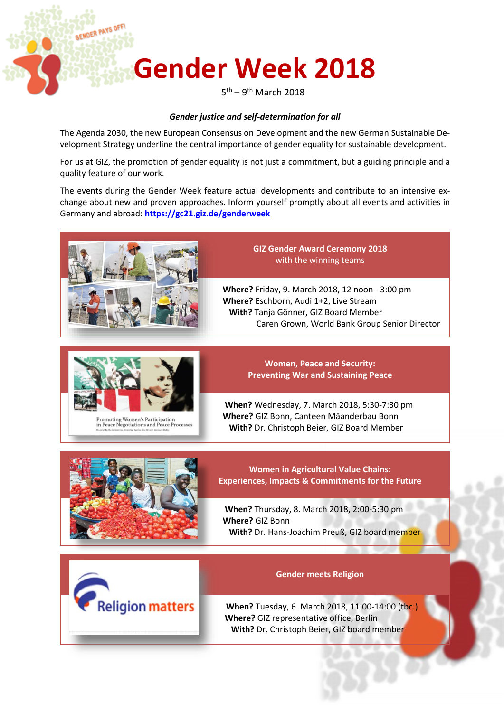# **Gender Week 2018**

 5 <sup>th</sup> – 9<sup>th</sup> March 2018

## *Gender justice and self-determination for all*

The Agenda 2030, the new European Consensus on Development and the new German Sustainable Development Strategy underline the central importance of gender equality for sustainable development.

For us at GIZ, the promotion of gender equality is not just a commitment, but a guiding principle and a quality feature of our work.

The events during the Gender Week feature actual developments and contribute to an intensive exchange about new and proven approaches. Inform yourself promptly about all events and activities in Germany and abroad: **<https://gc21.giz.de/genderweek>**



ER PAYS OF

**GIZ Gender Award Ceremony 2018** with the winning teams

 **Where?** Friday, 9. March 2018, 12 noon - 3:00 pm  **Where?** Eschborn, Audi 1+2, Live Stream **With?** Tanja Gönner, GIZ Board Member Caren Grown, World Bank Group Senior Director



**Women, Peace and Security: Preventing War and Sustaining Peace**

 **When?** Wednesday, 7. March 2018, 5:30-7:30 pm  **Where?** GIZ Bonn, Canteen Mäanderbau Bonn  **With?** Dr. Christoph Beier, GIZ Board Member



**Women in Agricultural Value Chains: Experiences, Impacts & Commitments for the Future**

 **When?** Thursday, 8. March 2018, 2:00-5:30 pm  **Where?** GIZ Bonn **With?** Dr. Hans-Joachim Preuß, GIZ board member



# **Gender meets Religion**

 **When?** Tuesday, 6. March 2018, 11:00-14:00 (tbc.)  **Where?** GIZ representative office, Berlin  **With?** Dr. Christoph Beier, GIZ board member